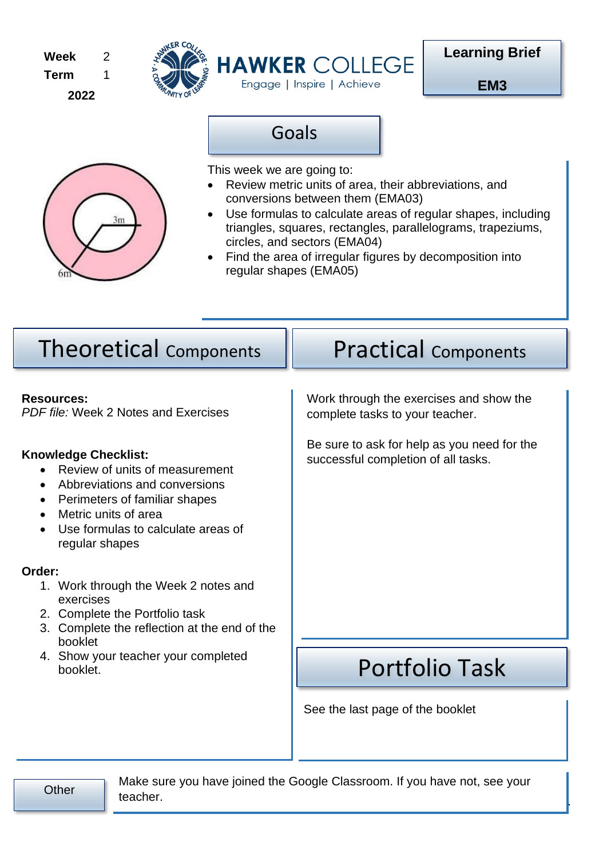**Week Term 2022** 2 1





**EM3**



This week we are going to:

Goals

- Review metric units of area, their abbreviations, and conversions between them (EMA03)
- Use formulas to calculate areas of regular shapes, including triangles, squares, rectangles, parallelograms, trapeziums, circles, and sectors (EMA04)
- Find the area of irregular figures by decomposition into regular shapes (EMA05)

| <b>Theoretical Components</b>                                                                                                                                                                                                                          | <b>Practical Components</b>                                                        |  |  |
|--------------------------------------------------------------------------------------------------------------------------------------------------------------------------------------------------------------------------------------------------------|------------------------------------------------------------------------------------|--|--|
| <b>Resources:</b><br>PDF file: Week 2 Notes and Exercises                                                                                                                                                                                              | Work through the exercises and show the<br>complete tasks to your teacher.         |  |  |
| <b>Knowledge Checklist:</b><br>Review of units of measurement<br>Abbreviations and conversions<br>$\bullet$<br>Perimeters of familiar shapes<br>$\bullet$<br>Metric units of area<br>$\bullet$<br>Use formulas to calculate areas of<br>regular shapes | Be sure to ask for help as you need for the<br>successful completion of all tasks. |  |  |
| Order:<br>1. Work through the Week 2 notes and<br>exercises<br>2. Complete the Portfolio task<br>Complete the reflection at the end of the<br>3.                                                                                                       |                                                                                    |  |  |
| booklet<br>4. Show your teacher your completed<br>booklet.                                                                                                                                                                                             | <b>Portfolio Task</b>                                                              |  |  |
|                                                                                                                                                                                                                                                        | See the last page of the booklet                                                   |  |  |

Page **1** of **11** Make sure you have joined the Google Classroom. If you have not, see your<br>Other the share teacher.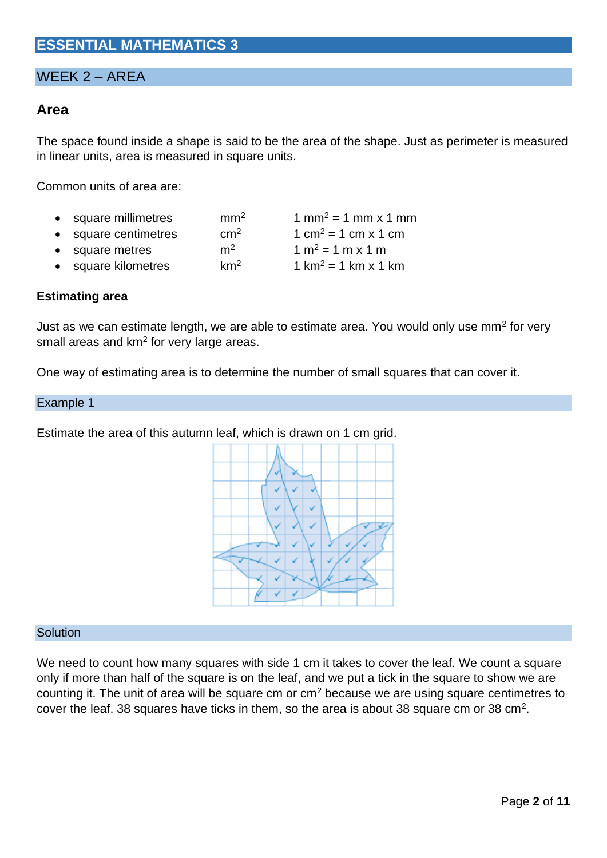# **ESSENTIAL MATHEMATICS 3**

# WEEK 2 – AREA

## **Area**

The space found inside a shape is said to be the area of the shape. Just as perimeter is measured in linear units, area is measured in square units.

Common units of area are:

- square millimetres mm<sup>2</sup> 1 mm<sup>2</sup> = 1 mm x 1 mm
- square centimetres cm<sup>2</sup>  $1 \text{ cm}^2 = 1 \text{ cm} \times 1 \text{ cm}$
- square metres  $m^2$  1 m<sup>2</sup> = 1 m x 1 m
- square kilometres  $km^2$  1 km<sup>2</sup> = 1 km x 1 km

### **Estimating area**

Just as we can estimate length, we are able to estimate area. You would only use mm<sup>2</sup> for very small areas and km<sup>2</sup> for very large areas.

One way of estimating area is to determine the number of small squares that can cover it.

#### Example 1

Estimate the area of this autumn leaf, which is drawn on 1 cm grid.



#### **Solution**

We need to count how many squares with side 1 cm it takes to cover the leaf. We count a square only if more than half of the square is on the leaf, and we put a tick in the square to show we are counting it. The unit of area will be square cm or cm<sup>2</sup> because we are using square centimetres to cover the leaf. 38 squares have ticks in them, so the area is about 38 square cm or 38 cm<sup>2</sup>.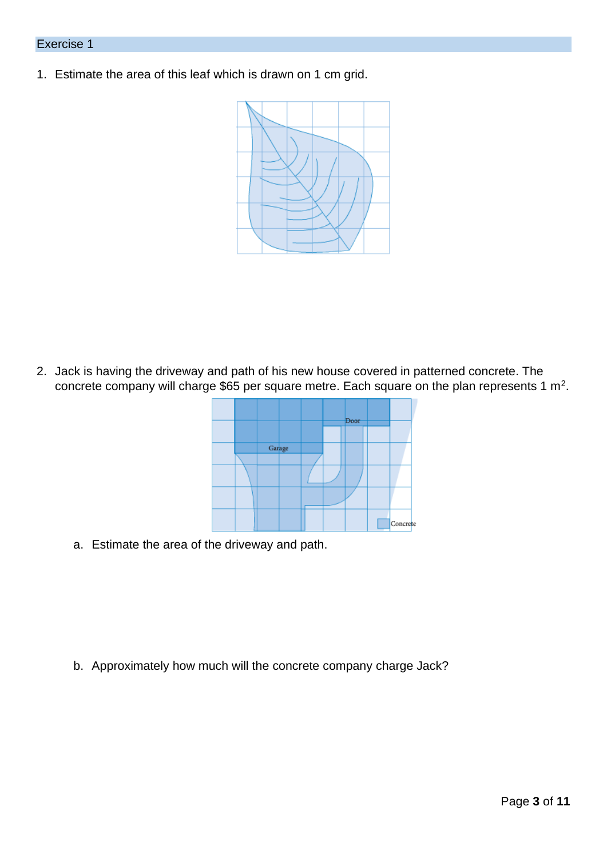1. Estimate the area of this leaf which is drawn on 1 cm grid.



2. Jack is having the driveway and path of his new house covered in patterned concrete. The concrete company will charge \$65 per square metre. Each square on the plan represents 1 m<sup>2</sup>.



a. Estimate the area of the driveway and path.

b. Approximately how much will the concrete company charge Jack?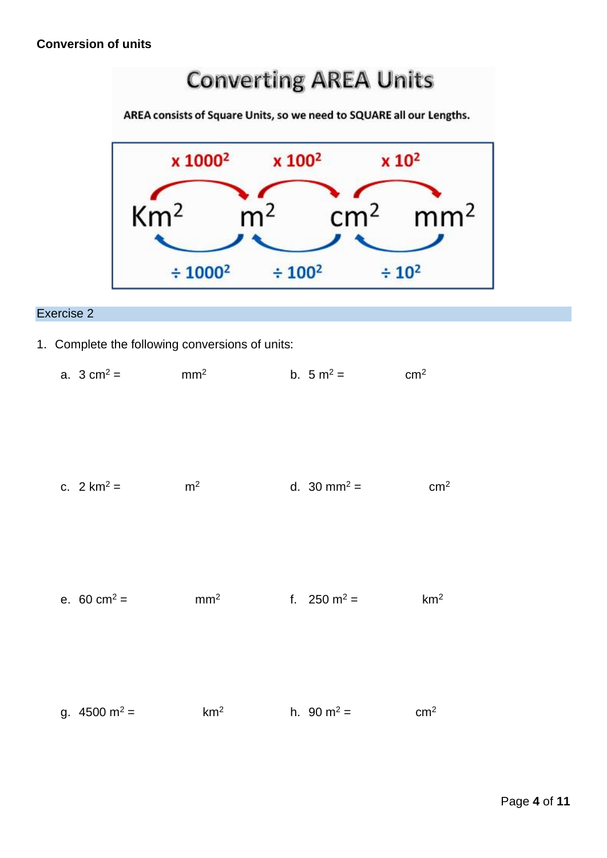# **Converting AREA Units**

AREA consists of Square Units, so we need to SQUARE all our Lengths.



## Exercise 2

- 1. Complete the following conversions of units:
	- a.  $3 \text{ cm}^2 = \text{ mm}^2$  b.  $5 \text{ m}^2 = \text{ cm}^2$

| c. $2 km^2 =$ | m <sup>2</sup> | d. 30 mm <sup>2</sup> = | cm <sup>2</sup> |
|---------------|----------------|-------------------------|-----------------|
|               |                |                         |                 |

| e. 60 cm <sup>2</sup> = | mm <sup>2</sup> | f. $250 \text{ m}^2$ = | km <sup>2</sup> |
|-------------------------|-----------------|------------------------|-----------------|
|                         |                 |                        |                 |
|                         |                 |                        |                 |
| g. $4500 \text{ m}^2$ = | km <sup>2</sup> | h. $90 \text{ m}^2 =$  | $\text{cm}^2$   |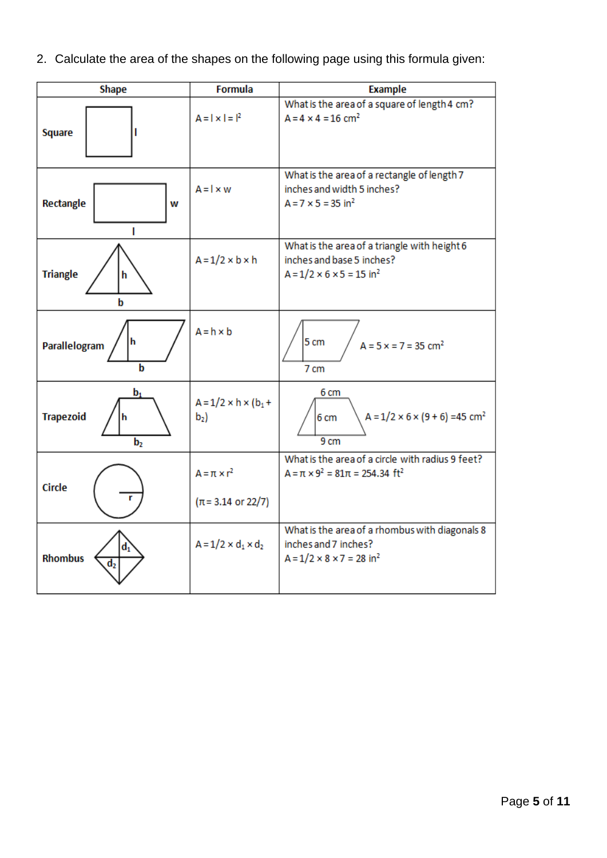2. Calculate the area of the shapes on the following page using this formula given:

| <b>Shape</b>                                | <b>Formula</b>                                          | <b>Example</b>                                                                                                                |
|---------------------------------------------|---------------------------------------------------------|-------------------------------------------------------------------------------------------------------------------------------|
| <b>Square</b>                               | $A =   \times   =  ^2$                                  | What is the area of a square of length 4 cm?<br>$A = 4 \times 4 = 16$ cm <sup>2</sup>                                         |
| Rectangle<br>W                              | $A = 1 \times w$                                        | What is the area of a rectangle of length 7<br>inches and width 5 inches?<br>$A = 7 \times 5 = 35$ in <sup>2</sup>            |
| <b>Triangle</b><br>h<br>h                   | $A = 1/2 \times b \times h$                             | What is the area of a triangle with height 6<br>inches and base 5 inches?<br>$A = 1/2 \times 6 \times 5 = 15$ in <sup>2</sup> |
| h<br>Parallelogram<br>b                     | $A = h \times b$                                        | 5 cm<br>$A = 5x = 7 = 35$ cm <sup>2</sup><br>7 cm                                                                             |
| $b_1$<br><b>Trapezoid</b><br>b <sub>2</sub> | $A = 1/2 \times h \times (b_1 +$<br>$b_2$               | 6 cm<br>$A = 1/2 \times 6 \times (9 + 6) = 45$ cm <sup>2</sup><br>6 cm<br>9 <sub>cm</sub>                                     |
| <b>Circle</b>                               | $A = \pi \times r^2$<br>$(\pi = 3.14 \text{ or } 22/7)$ | What is the area of a circle with radius 9 feet?<br>$A = \pi \times 9^2 = 81\pi = 254.34 \text{ ft}^2$                        |
| d.<br><b>Rhombus</b><br>d,                  | $A = 1/2 \times d_1 \times d_2$                         | What is the area of a rhombus with diagonals 8<br>inches and 7 inches?<br>$A = 1/2 \times 8 \times 7 = 28$ in <sup>2</sup>    |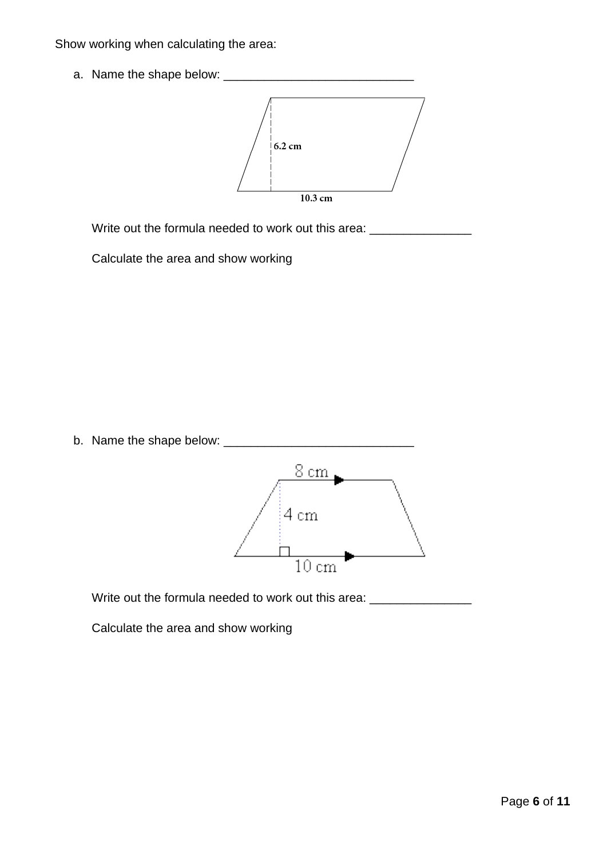Show working when calculating the area:

a. Name the shape below: \_\_\_\_\_\_\_\_\_\_\_\_\_\_\_\_\_\_\_\_\_\_\_\_\_\_\_\_



Write out the formula needed to work out this area: \_\_\_\_\_\_\_\_\_\_\_\_\_\_\_\_\_\_\_\_\_\_\_\_\_\_\_\_

Calculate the area and show working

b. Name the shape below: \_\_\_\_\_\_\_\_\_\_\_\_\_\_\_\_\_\_\_\_\_\_\_\_\_\_\_\_



Write out the formula needed to work out this area: \_\_\_\_\_\_\_\_\_\_\_\_\_\_\_\_\_\_\_\_\_\_\_\_\_\_\_\_

Calculate the area and show working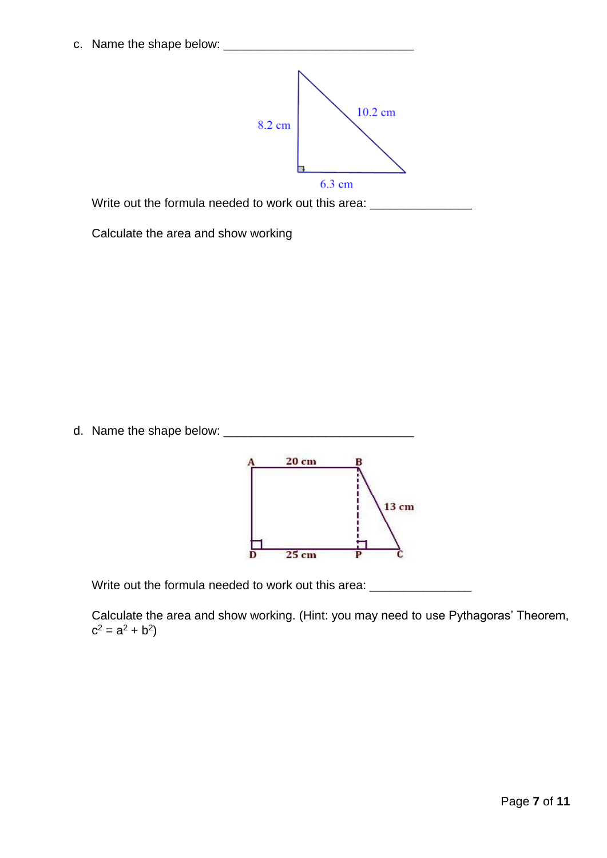c. Name the shape below: \_\_\_\_\_\_\_\_\_\_\_\_\_\_\_\_\_\_\_\_\_\_\_\_\_\_\_\_



Write out the formula needed to work out this area: \_\_\_\_\_\_\_\_\_\_\_\_\_\_\_\_\_\_\_\_\_\_\_\_\_\_\_\_

Calculate the area and show working





Write out the formula needed to work out this area:

Calculate the area and show working. (Hint: you may need to use Pythagoras' Theorem,  $c^2 = a^2 + b^2$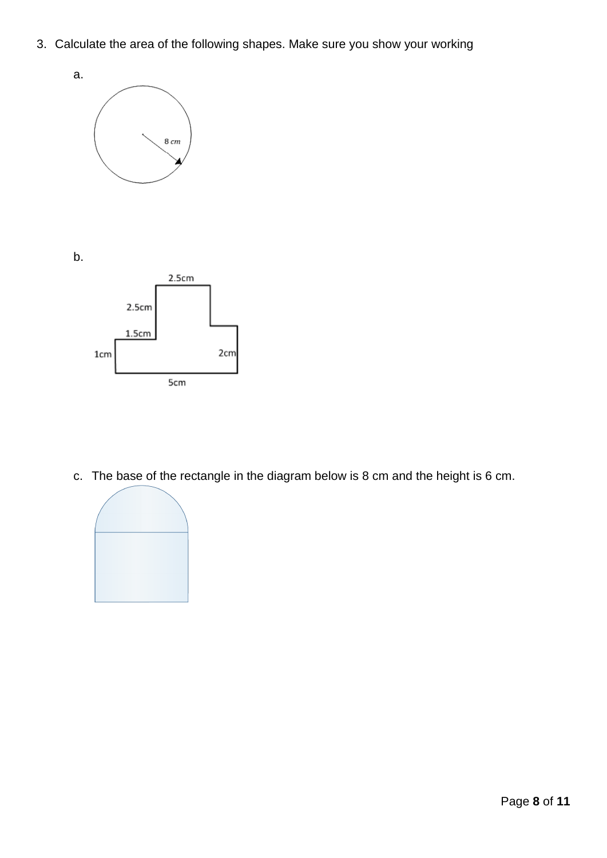3. Calculate the area of the following shapes. Make sure you show your working



b.



c. The base of the rectangle in the diagram below is 8 cm and the height is 6 cm.

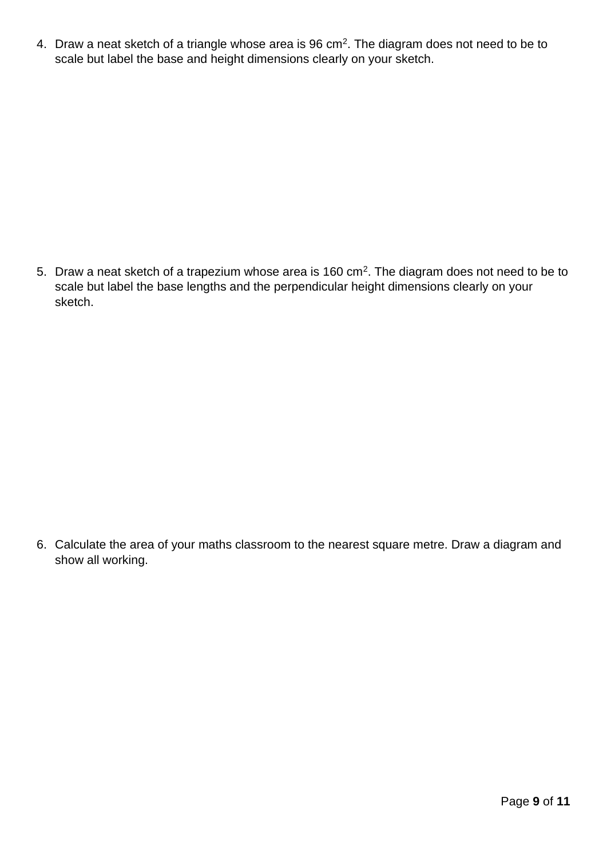4. Draw a neat sketch of a triangle whose area is  $96 \text{ cm}^2$ . The diagram does not need to be to scale but label the base and height dimensions clearly on your sketch.

5. Draw a neat sketch of a trapezium whose area is 160 cm<sup>2</sup>. The diagram does not need to be to scale but label the base lengths and the perpendicular height dimensions clearly on your sketch.

6. Calculate the area of your maths classroom to the nearest square metre. Draw a diagram and show all working.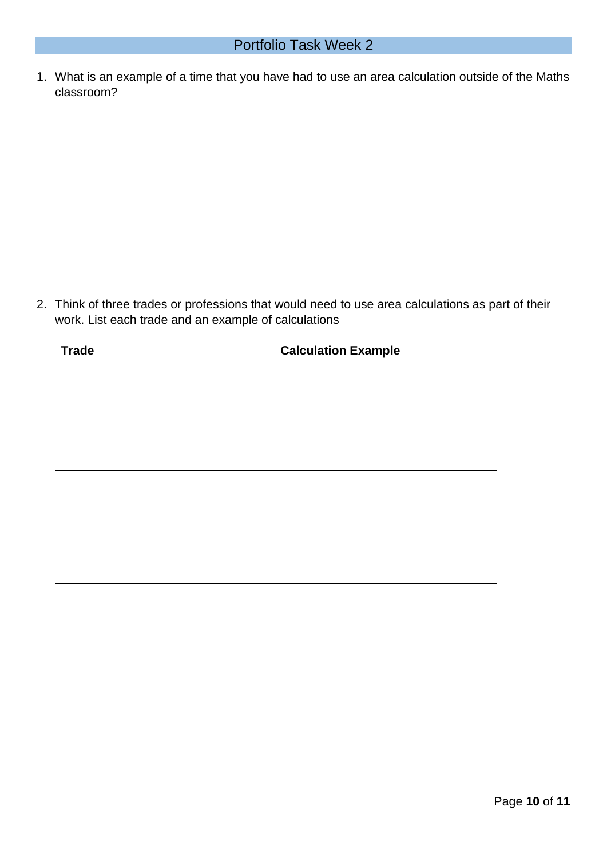1. What is an example of a time that you have had to use an area calculation outside of the Maths classroom?

2. Think of three trades or professions that would need to use area calculations as part of their work. List each trade and an example of calculations

| <b>Trade</b><br><b>Calculation Example</b> |  |  |  |
|--------------------------------------------|--|--|--|
|                                            |  |  |  |
|                                            |  |  |  |
|                                            |  |  |  |
|                                            |  |  |  |
|                                            |  |  |  |
|                                            |  |  |  |
|                                            |  |  |  |
|                                            |  |  |  |
|                                            |  |  |  |
|                                            |  |  |  |
|                                            |  |  |  |
|                                            |  |  |  |
|                                            |  |  |  |
|                                            |  |  |  |
|                                            |  |  |  |
|                                            |  |  |  |
|                                            |  |  |  |
|                                            |  |  |  |
|                                            |  |  |  |
|                                            |  |  |  |
|                                            |  |  |  |